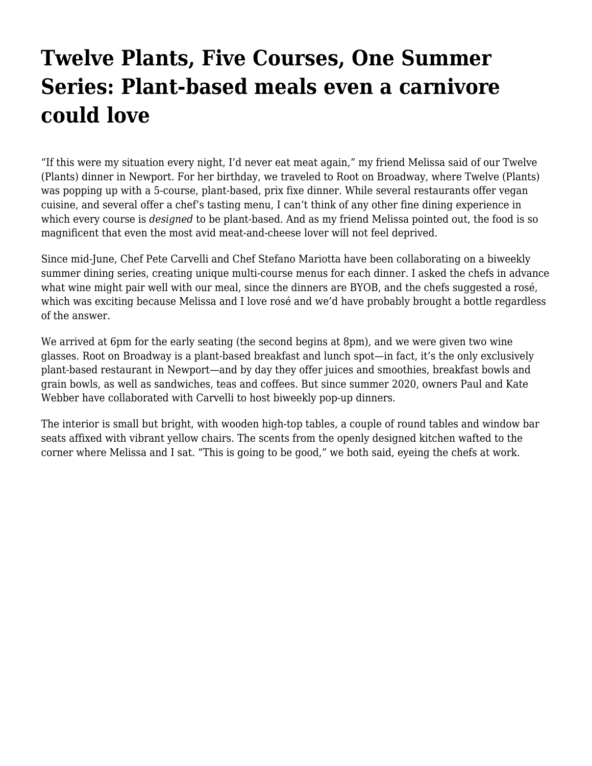## **[Twelve Plants, Five Courses, One Summer](https://motifri.com/twelve-plants/) [Series: Plant-based meals even a carnivore](https://motifri.com/twelve-plants/) [could love](https://motifri.com/twelve-plants/)**

"If this were my situation every night, I'd never eat meat again," my friend Melissa said of our Twelve (Plants) dinner in Newport. For her birthday, we traveled to Root on Broadway, where Twelve (Plants) was popping up with a 5-course, plant-based, prix fixe dinner. While several restaurants offer vegan cuisine, and several offer a chef's tasting menu, I can't think of any other fine dining experience in which every course is *designed* to be plant-based. And as my friend Melissa pointed out, the food is so magnificent that even the most avid meat-and-cheese lover will not feel deprived.

Since mid-June, Chef Pete Carvelli and Chef Stefano Mariotta have been collaborating on a biweekly summer dining series, creating unique multi-course menus for each dinner. I asked the chefs in advance what wine might pair well with our meal, since the dinners are BYOB, and the chefs suggested a rosé, which was exciting because Melissa and I love rosé and we'd have probably brought a bottle regardless of the answer.

We arrived at 6pm for the early seating (the second begins at 8pm), and we were given two wine glasses. Root on Broadway is a plant-based breakfast and lunch spot—in fact, it's the only exclusively plant-based restaurant in Newport—and by day they offer juices and smoothies, breakfast bowls and grain bowls, as well as sandwiches, teas and coffees. But since summer 2020, owners Paul and Kate Webber have collaborated with Carvelli to host biweekly pop-up dinners.

The interior is small but bright, with wooden high-top tables, a couple of round tables and window bar seats affixed with vibrant yellow chairs. The scents from the openly designed kitchen wafted to the corner where Melissa and I sat. "This is going to be good," we both said, eyeing the chefs at work.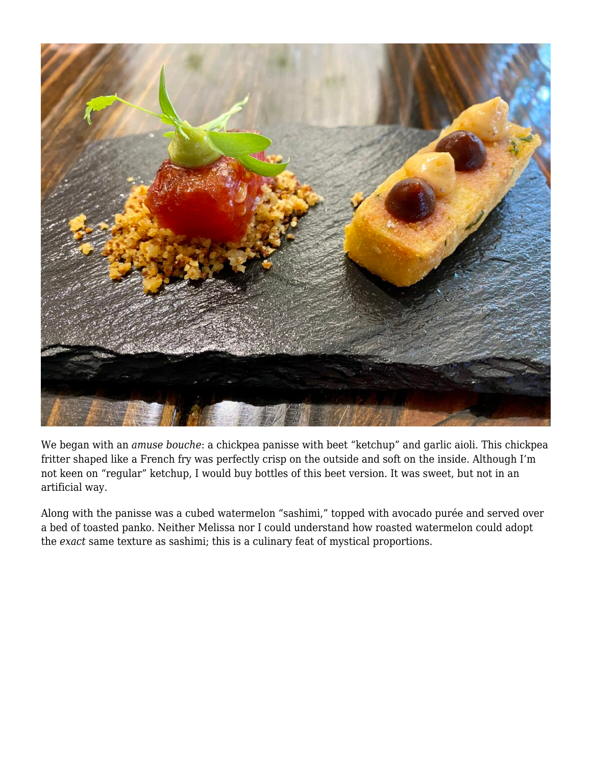

We began with an *amuse bouche*: a chickpea panisse with beet "ketchup" and garlic aioli. This chickpea fritter shaped like a French fry was perfectly crisp on the outside and soft on the inside. Although I'm not keen on "regular" ketchup, I would buy bottles of this beet version. It was sweet, but not in an artificial way.

Along with the panisse was a cubed watermelon "sashimi," topped with avocado purée and served over a bed of toasted panko. Neither Melissa nor I could understand how roasted watermelon could adopt the *exact* same texture as sashimi; this is a culinary feat of mystical proportions.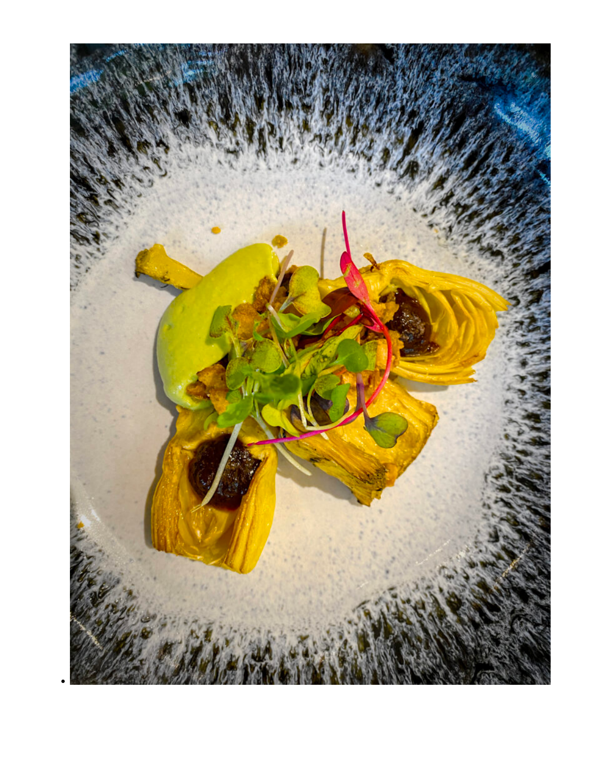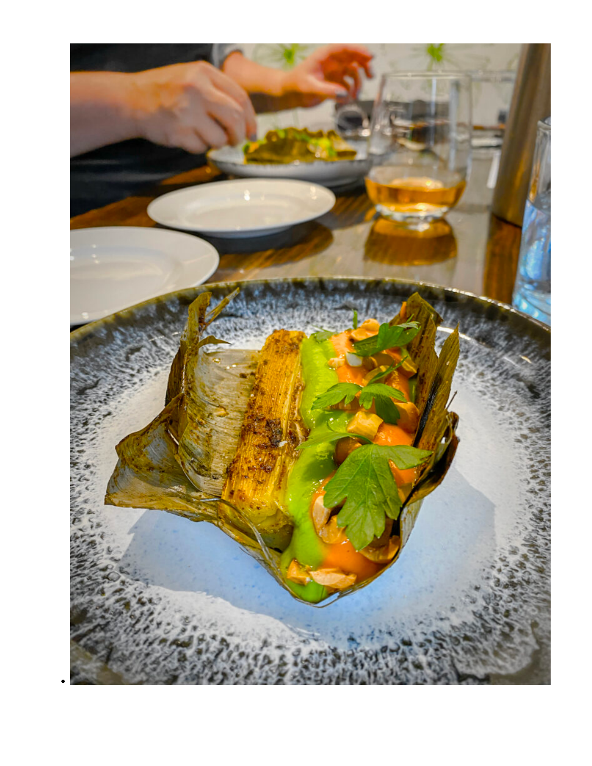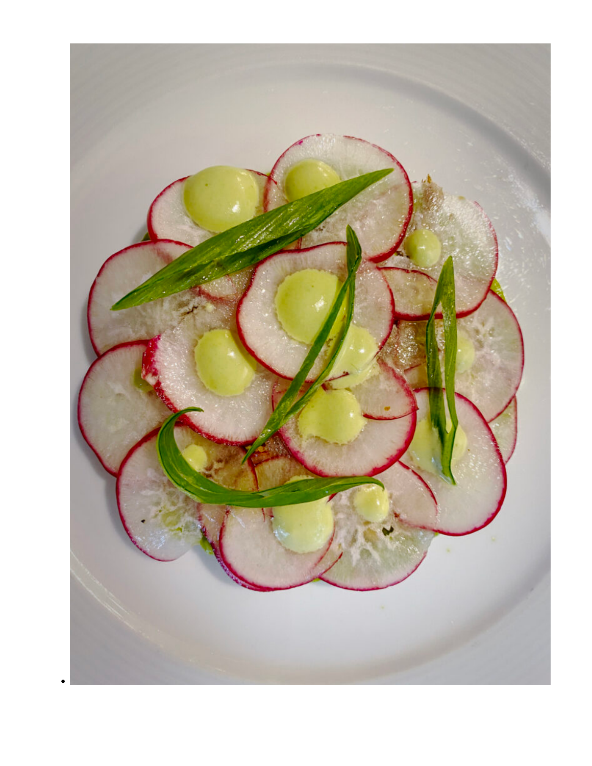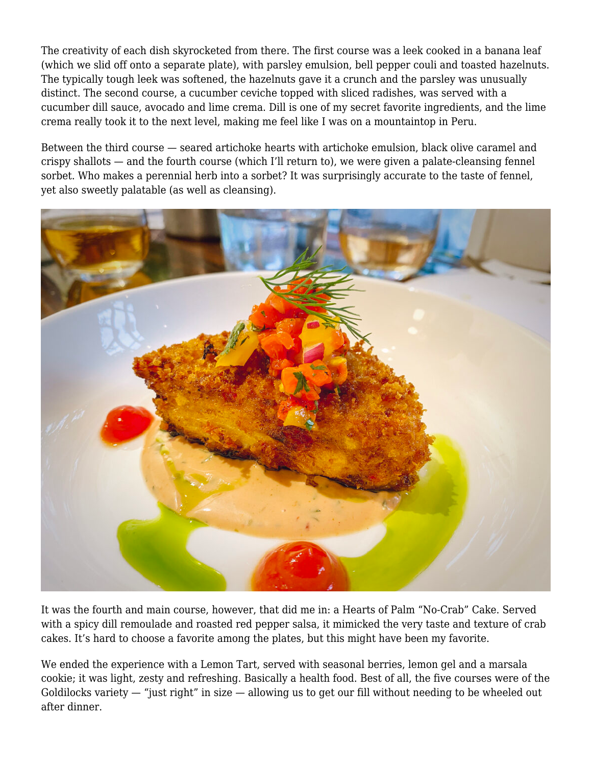The creativity of each dish skyrocketed from there. The first course was a leek cooked in a banana leaf (which we slid off onto a separate plate), with parsley emulsion, bell pepper couli and toasted hazelnuts. The typically tough leek was softened, the hazelnuts gave it a crunch and the parsley was unusually distinct. The second course, a cucumber ceviche topped with sliced radishes, was served with a cucumber dill sauce, avocado and lime crema. Dill is one of my secret favorite ingredients, and the lime crema really took it to the next level, making me feel like I was on a mountaintop in Peru.

Between the third course — seared artichoke hearts with artichoke emulsion, black olive caramel and crispy shallots — and the fourth course (which I'll return to), we were given a palate-cleansing fennel sorbet. Who makes a perennial herb into a sorbet? It was surprisingly accurate to the taste of fennel, yet also sweetly palatable (as well as cleansing).



It was the fourth and main course, however, that did me in: a Hearts of Palm "No-Crab" Cake. Served with a spicy dill remoulade and roasted red pepper salsa, it mimicked the very taste and texture of crab cakes. It's hard to choose a favorite among the plates, but this might have been my favorite.

We ended the experience with a Lemon Tart, served with seasonal berries, lemon gel and a marsala cookie; it was light, zesty and refreshing. Basically a health food. Best of all, the five courses were of the Goldilocks variety  $-$  "just right" in size  $-$  allowing us to get our fill without needing to be wheeled out after dinner.